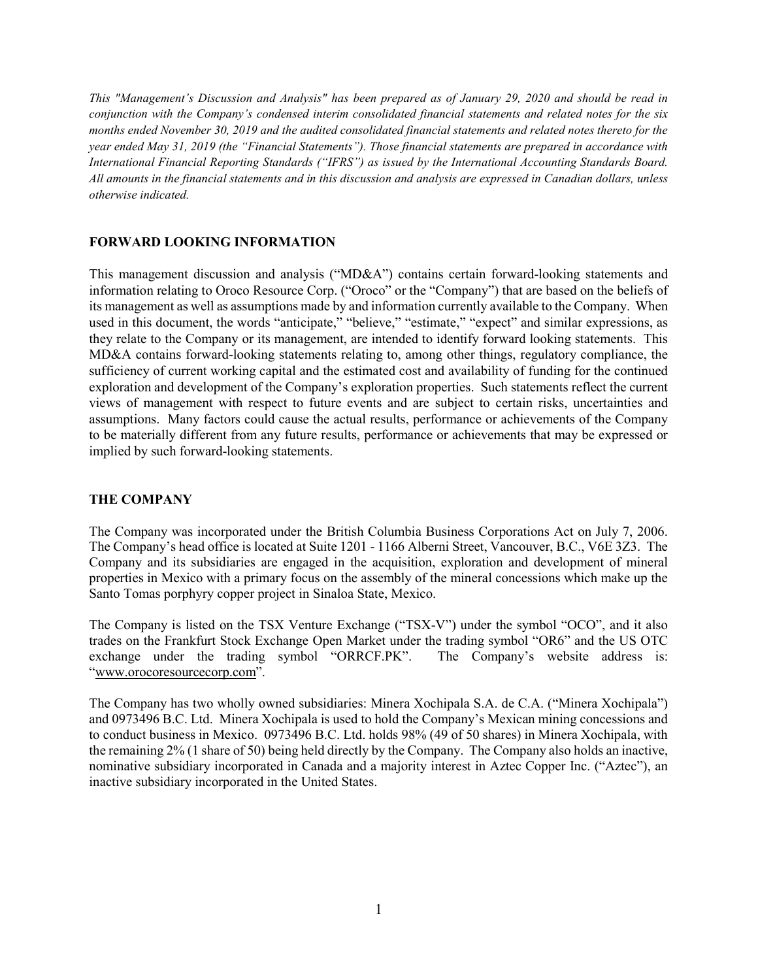This "Management's Discussion and Analysis" has been prepared as of January 29, 2020 and should be read in conjunction with the Company's condensed interim consolidated financial statements and related notes for the six months ended November 30, 2019 and the audited consolidated financial statements and related notes thereto for the year ended May 31, 2019 (the "Financial Statements"). Those financial statements are prepared in accordance with International Financial Reporting Standards ("IFRS") as issued by the International Accounting Standards Board. All amounts in the financial statements and in this discussion and analysis are expressed in Canadian dollars, unless otherwise indicated.

#### FORWARD LOOKING INFORMATION

This management discussion and analysis ("MD&A") contains certain forward-looking statements and information relating to Oroco Resource Corp. ("Oroco" or the "Company") that are based on the beliefs of its management as well as assumptions made by and information currently available to the Company. When used in this document, the words "anticipate," "believe," "estimate," "expect" and similar expressions, as they relate to the Company or its management, are intended to identify forward looking statements. This MD&A contains forward-looking statements relating to, among other things, regulatory compliance, the sufficiency of current working capital and the estimated cost and availability of funding for the continued exploration and development of the Company's exploration properties. Such statements reflect the current views of management with respect to future events and are subject to certain risks, uncertainties and assumptions. Many factors could cause the actual results, performance or achievements of the Company to be materially different from any future results, performance or achievements that may be expressed or implied by such forward-looking statements.

### THE COMPANY

The Company was incorporated under the British Columbia Business Corporations Act on July 7, 2006. The Company's head office is located at Suite 1201 - 1166 Alberni Street, Vancouver, B.C., V6E 3Z3. The Company and its subsidiaries are engaged in the acquisition, exploration and development of mineral properties in Mexico with a primary focus on the assembly of the mineral concessions which make up the Santo Tomas porphyry copper project in Sinaloa State, Mexico.

The Company is listed on the TSX Venture Exchange ("TSX-V") under the symbol "OCO", and it also trades on the Frankfurt Stock Exchange Open Market under the trading symbol "OR6" and the US OTC exchange under the trading symbol "ORRCF.PK". The Company's website address is: "www.orocoresourcecorp.com".

The Company has two wholly owned subsidiaries: Minera Xochipala S.A. de C.A. ("Minera Xochipala") and 0973496 B.C. Ltd. Minera Xochipala is used to hold the Company's Mexican mining concessions and to conduct business in Mexico. 0973496 B.C. Ltd. holds 98% (49 of 50 shares) in Minera Xochipala, with the remaining 2% (1 share of 50) being held directly by the Company. The Company also holds an inactive, nominative subsidiary incorporated in Canada and a majority interest in Aztec Copper Inc. ("Aztec"), an inactive subsidiary incorporated in the United States.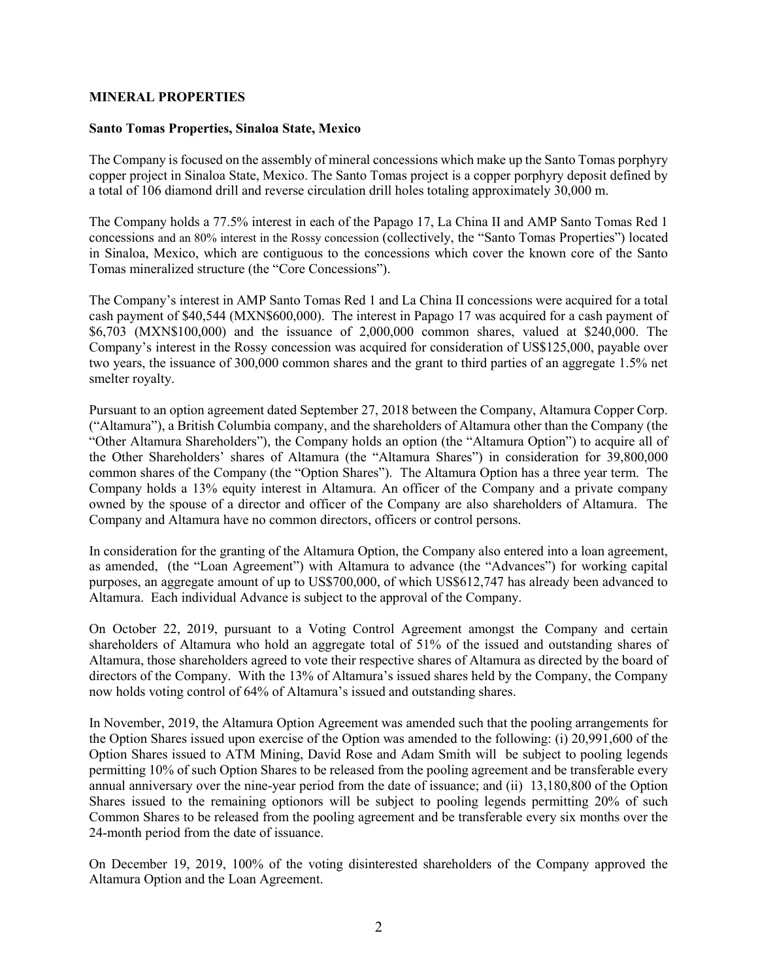#### MINERAL PROPERTIES

#### Santo Tomas Properties, Sinaloa State, Mexico

The Company is focused on the assembly of mineral concessions which make up the Santo Tomas porphyry copper project in Sinaloa State, Mexico. The Santo Tomas project is a copper porphyry deposit defined by a total of 106 diamond drill and reverse circulation drill holes totaling approximately 30,000 m.

The Company holds a 77.5% interest in each of the Papago 17, La China II and AMP Santo Tomas Red 1 concessions and an 80% interest in the Rossy concession (collectively, the "Santo Tomas Properties") located in Sinaloa, Mexico, which are contiguous to the concessions which cover the known core of the Santo Tomas mineralized structure (the "Core Concessions").

The Company's interest in AMP Santo Tomas Red 1 and La China II concessions were acquired for a total cash payment of \$40,544 (MXN\$600,000). The interest in Papago 17 was acquired for a cash payment of \$6,703 (MXN\$100,000) and the issuance of 2,000,000 common shares, valued at \$240,000. The Company's interest in the Rossy concession was acquired for consideration of US\$125,000, payable over two years, the issuance of 300,000 common shares and the grant to third parties of an aggregate 1.5% net smelter royalty.

Pursuant to an option agreement dated September 27, 2018 between the Company, Altamura Copper Corp. ("Altamura"), a British Columbia company, and the shareholders of Altamura other than the Company (the "Other Altamura Shareholders"), the Company holds an option (the "Altamura Option") to acquire all of the Other Shareholders' shares of Altamura (the "Altamura Shares") in consideration for 39,800,000 common shares of the Company (the "Option Shares"). The Altamura Option has a three year term. The Company holds a 13% equity interest in Altamura. An officer of the Company and a private company owned by the spouse of a director and officer of the Company are also shareholders of Altamura. The Company and Altamura have no common directors, officers or control persons.

In consideration for the granting of the Altamura Option, the Company also entered into a loan agreement, as amended, (the "Loan Agreement") with Altamura to advance (the "Advances") for working capital purposes, an aggregate amount of up to US\$700,000, of which US\$612,747 has already been advanced to Altamura. Each individual Advance is subject to the approval of the Company.

On October 22, 2019, pursuant to a Voting Control Agreement amongst the Company and certain shareholders of Altamura who hold an aggregate total of 51% of the issued and outstanding shares of Altamura, those shareholders agreed to vote their respective shares of Altamura as directed by the board of directors of the Company. With the 13% of Altamura's issued shares held by the Company, the Company now holds voting control of 64% of Altamura's issued and outstanding shares.

In November, 2019, the Altamura Option Agreement was amended such that the pooling arrangements for the Option Shares issued upon exercise of the Option was amended to the following: (i) 20,991,600 of the Option Shares issued to ATM Mining, David Rose and Adam Smith will be subject to pooling legends permitting 10% of such Option Shares to be released from the pooling agreement and be transferable every annual anniversary over the nine-year period from the date of issuance; and (ii) 13,180,800 of the Option Shares issued to the remaining optionors will be subject to pooling legends permitting 20% of such Common Shares to be released from the pooling agreement and be transferable every six months over the 24-month period from the date of issuance.

On December 19, 2019, 100% of the voting disinterested shareholders of the Company approved the Altamura Option and the Loan Agreement.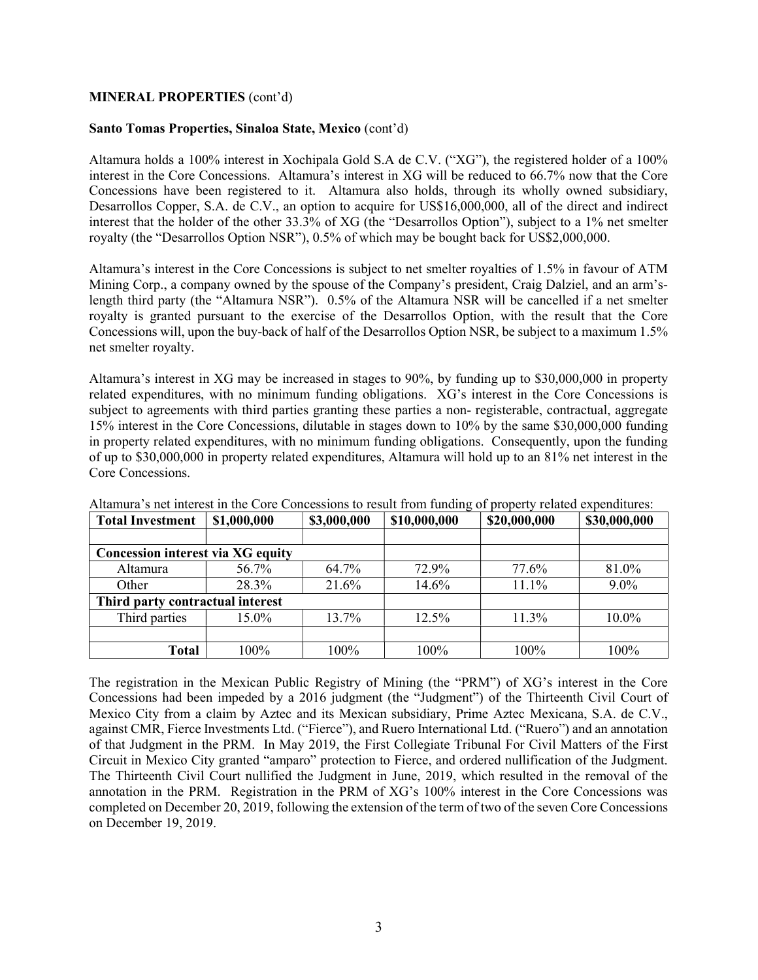### MINERAL PROPERTIES (cont'd)

#### Santo Tomas Properties, Sinaloa State, Mexico (cont'd)

Altamura holds a 100% interest in Xochipala Gold S.A de C.V. ("XG"), the registered holder of a 100% interest in the Core Concessions. Altamura's interest in XG will be reduced to 66.7% now that the Core Concessions have been registered to it. Altamura also holds, through its wholly owned subsidiary, Desarrollos Copper, S.A. de C.V., an option to acquire for US\$16,000,000, all of the direct and indirect interest that the holder of the other 33.3% of XG (the "Desarrollos Option"), subject to a 1% net smelter royalty (the "Desarrollos Option NSR"), 0.5% of which may be bought back for US\$2,000,000.

Altamura's interest in the Core Concessions is subject to net smelter royalties of 1.5% in favour of ATM Mining Corp., a company owned by the spouse of the Company's president, Craig Dalziel, and an arm'slength third party (the "Altamura NSR"). 0.5% of the Altamura NSR will be cancelled if a net smelter royalty is granted pursuant to the exercise of the Desarrollos Option, with the result that the Core Concessions will, upon the buy-back of half of the Desarrollos Option NSR, be subject to a maximum 1.5% net smelter royalty.

Altamura's interest in XG may be increased in stages to 90%, by funding up to \$30,000,000 in property related expenditures, with no minimum funding obligations. XG's interest in the Core Concessions is subject to agreements with third parties granting these parties a non- registerable, contractual, aggregate 15% interest in the Core Concessions, dilutable in stages down to 10% by the same \$30,000,000 funding in property related expenditures, with no minimum funding obligations. Consequently, upon the funding of up to \$30,000,000 in property related expenditures, Altamura will hold up to an 81% net interest in the Core Concessions.

| <b>Total Investment</b>                  | \$1,000,000 | \$3,000,000 | \$10,000,000 | \$20,000,000 | \$30,000,000 |
|------------------------------------------|-------------|-------------|--------------|--------------|--------------|
|                                          |             |             |              |              |              |
| <b>Concession interest via XG equity</b> |             |             |              |              |              |
| Altamura                                 | 56.7%       | 64.7%       | 72.9%        | 77.6%        | 81.0%        |
| Other                                    | 28.3%       | 21.6%       | 14.6%        | 11.1%        | $9.0\%$      |
| Third party contractual interest         |             |             |              |              |              |
| Third parties                            | 15.0%       | 13.7%       | 12.5%        | 11.3%        | 10.0%        |
|                                          |             |             |              |              |              |
| <b>Total</b>                             | 100%        | 100%        | 100%         | 100%         | 100%         |

Altamura's net interest in the Core Concessions to result from funding of property related expenditures:

The registration in the Mexican Public Registry of Mining (the "PRM") of XG's interest in the Core Concessions had been impeded by a 2016 judgment (the "Judgment") of the Thirteenth Civil Court of Mexico City from a claim by Aztec and its Mexican subsidiary, Prime Aztec Mexicana, S.A. de C.V., against CMR, Fierce Investments Ltd. ("Fierce"), and Ruero International Ltd. ("Ruero") and an annotation of that Judgment in the PRM. In May 2019, the First Collegiate Tribunal For Civil Matters of the First Circuit in Mexico City granted "amparo" protection to Fierce, and ordered nullification of the Judgment. The Thirteenth Civil Court nullified the Judgment in June, 2019, which resulted in the removal of the annotation in the PRM. Registration in the PRM of XG's 100% interest in the Core Concessions was completed on December 20, 2019, following the extension of the term of two of the seven Core Concessions on December 19, 2019.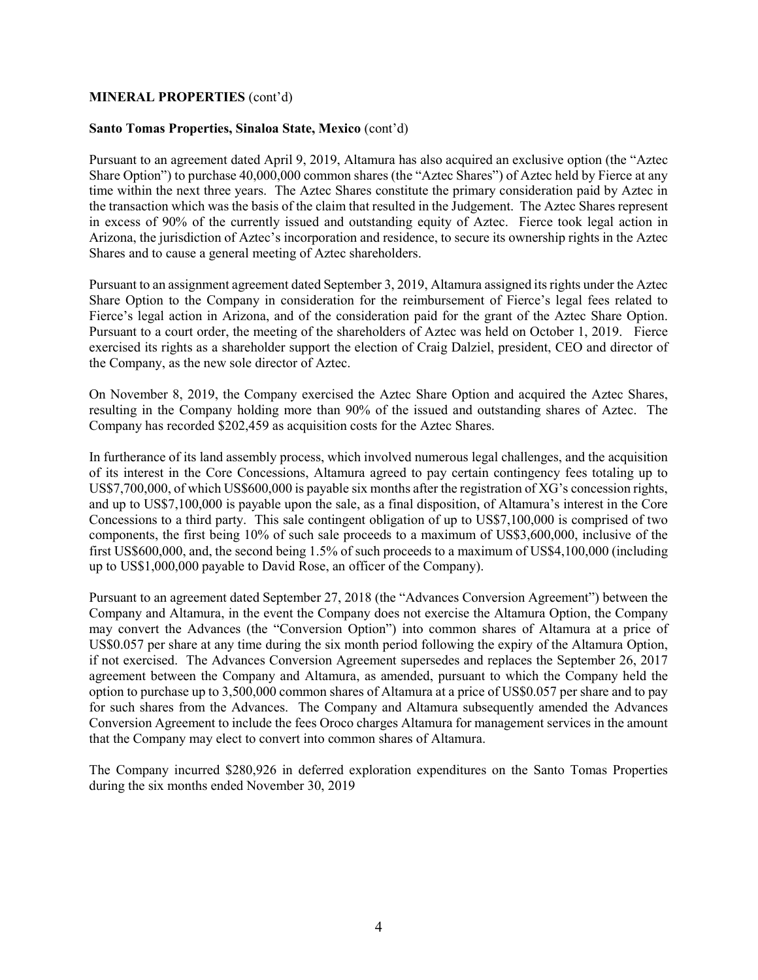#### MINERAL PROPERTIES (cont'd)

#### Santo Tomas Properties, Sinaloa State, Mexico (cont'd)

Pursuant to an agreement dated April 9, 2019, Altamura has also acquired an exclusive option (the "Aztec Share Option") to purchase 40,000,000 common shares (the "Aztec Shares") of Aztec held by Fierce at any time within the next three years. The Aztec Shares constitute the primary consideration paid by Aztec in the transaction which was the basis of the claim that resulted in the Judgement. The Aztec Shares represent in excess of 90% of the currently issued and outstanding equity of Aztec. Fierce took legal action in Arizona, the jurisdiction of Aztec's incorporation and residence, to secure its ownership rights in the Aztec Shares and to cause a general meeting of Aztec shareholders.

Pursuant to an assignment agreement dated September 3, 2019, Altamura assigned its rights under the Aztec Share Option to the Company in consideration for the reimbursement of Fierce's legal fees related to Fierce's legal action in Arizona, and of the consideration paid for the grant of the Aztec Share Option. Pursuant to a court order, the meeting of the shareholders of Aztec was held on October 1, 2019. Fierce exercised its rights as a shareholder support the election of Craig Dalziel, president, CEO and director of the Company, as the new sole director of Aztec.

On November 8, 2019, the Company exercised the Aztec Share Option and acquired the Aztec Shares, resulting in the Company holding more than 90% of the issued and outstanding shares of Aztec. The Company has recorded \$202,459 as acquisition costs for the Aztec Shares.

In furtherance of its land assembly process, which involved numerous legal challenges, and the acquisition of its interest in the Core Concessions, Altamura agreed to pay certain contingency fees totaling up to US\$7,700,000, of which US\$600,000 is payable six months after the registration of XG's concession rights, and up to US\$7,100,000 is payable upon the sale, as a final disposition, of Altamura's interest in the Core Concessions to a third party. This sale contingent obligation of up to US\$7,100,000 is comprised of two components, the first being 10% of such sale proceeds to a maximum of US\$3,600,000, inclusive of the first US\$600,000, and, the second being 1.5% of such proceeds to a maximum of US\$4,100,000 (including up to US\$1,000,000 payable to David Rose, an officer of the Company).

Pursuant to an agreement dated September 27, 2018 (the "Advances Conversion Agreement") between the Company and Altamura, in the event the Company does not exercise the Altamura Option, the Company may convert the Advances (the "Conversion Option") into common shares of Altamura at a price of US\$0.057 per share at any time during the six month period following the expiry of the Altamura Option, if not exercised. The Advances Conversion Agreement supersedes and replaces the September 26, 2017 agreement between the Company and Altamura, as amended, pursuant to which the Company held the option to purchase up to 3,500,000 common shares of Altamura at a price of US\$0.057 per share and to pay for such shares from the Advances. The Company and Altamura subsequently amended the Advances Conversion Agreement to include the fees Oroco charges Altamura for management services in the amount that the Company may elect to convert into common shares of Altamura.

The Company incurred \$280,926 in deferred exploration expenditures on the Santo Tomas Properties during the six months ended November 30, 2019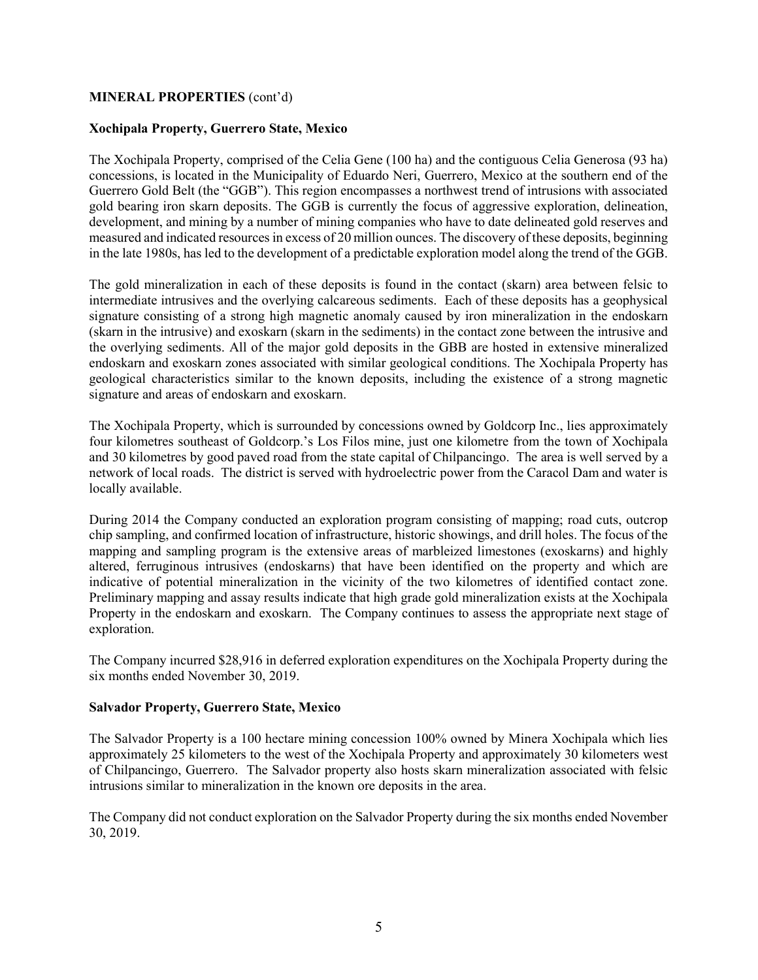## MINERAL PROPERTIES (cont'd)

### Xochipala Property, Guerrero State, Mexico

The Xochipala Property, comprised of the Celia Gene (100 ha) and the contiguous Celia Generosa (93 ha) concessions, is located in the Municipality of Eduardo Neri, Guerrero, Mexico at the southern end of the Guerrero Gold Belt (the "GGB"). This region encompasses a northwest trend of intrusions with associated gold bearing iron skarn deposits. The GGB is currently the focus of aggressive exploration, delineation, development, and mining by a number of mining companies who have to date delineated gold reserves and measured and indicated resources in excess of 20 million ounces. The discovery of these deposits, beginning in the late 1980s, has led to the development of a predictable exploration model along the trend of the GGB.

The gold mineralization in each of these deposits is found in the contact (skarn) area between felsic to intermediate intrusives and the overlying calcareous sediments. Each of these deposits has a geophysical signature consisting of a strong high magnetic anomaly caused by iron mineralization in the endoskarn (skarn in the intrusive) and exoskarn (skarn in the sediments) in the contact zone between the intrusive and the overlying sediments. All of the major gold deposits in the GBB are hosted in extensive mineralized endoskarn and exoskarn zones associated with similar geological conditions. The Xochipala Property has geological characteristics similar to the known deposits, including the existence of a strong magnetic signature and areas of endoskarn and exoskarn.

The Xochipala Property, which is surrounded by concessions owned by Goldcorp Inc., lies approximately four kilometres southeast of Goldcorp.'s Los Filos mine, just one kilometre from the town of Xochipala and 30 kilometres by good paved road from the state capital of Chilpancingo. The area is well served by a network of local roads. The district is served with hydroelectric power from the Caracol Dam and water is locally available.

During 2014 the Company conducted an exploration program consisting of mapping; road cuts, outcrop chip sampling, and confirmed location of infrastructure, historic showings, and drill holes. The focus of the mapping and sampling program is the extensive areas of marbleized limestones (exoskarns) and highly altered, ferruginous intrusives (endoskarns) that have been identified on the property and which are indicative of potential mineralization in the vicinity of the two kilometres of identified contact zone. Preliminary mapping and assay results indicate that high grade gold mineralization exists at the Xochipala Property in the endoskarn and exoskarn. The Company continues to assess the appropriate next stage of exploration.

The Company incurred \$28,916 in deferred exploration expenditures on the Xochipala Property during the six months ended November 30, 2019.

### Salvador Property, Guerrero State, Mexico

The Salvador Property is a 100 hectare mining concession 100% owned by Minera Xochipala which lies approximately 25 kilometers to the west of the Xochipala Property and approximately 30 kilometers west of Chilpancingo, Guerrero. The Salvador property also hosts skarn mineralization associated with felsic intrusions similar to mineralization in the known ore deposits in the area.

The Company did not conduct exploration on the Salvador Property during the six months ended November 30, 2019.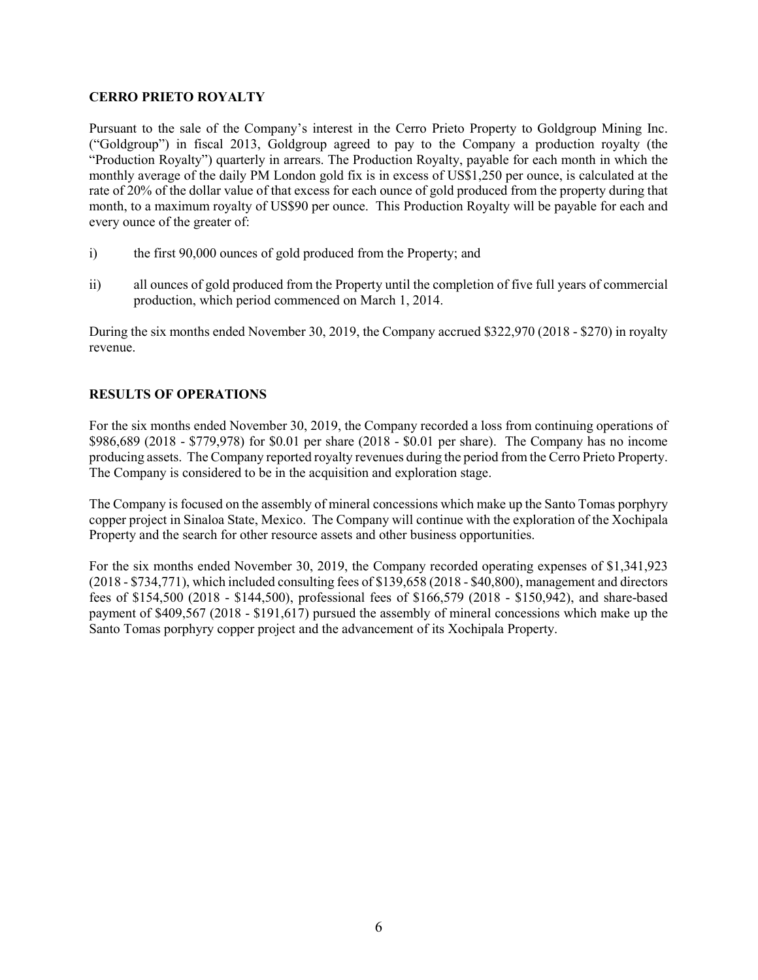## CERRO PRIETO ROYALTY

Pursuant to the sale of the Company's interest in the Cerro Prieto Property to Goldgroup Mining Inc. ("Goldgroup") in fiscal 2013, Goldgroup agreed to pay to the Company a production royalty (the "Production Royalty") quarterly in arrears. The Production Royalty, payable for each month in which the monthly average of the daily PM London gold fix is in excess of US\$1,250 per ounce, is calculated at the rate of 20% of the dollar value of that excess for each ounce of gold produced from the property during that month, to a maximum royalty of US\$90 per ounce. This Production Royalty will be payable for each and every ounce of the greater of:

- i) the first 90,000 ounces of gold produced from the Property; and
- ii) all ounces of gold produced from the Property until the completion of five full years of commercial production, which period commenced on March 1, 2014.

During the six months ended November 30, 2019, the Company accrued \$322,970 (2018 - \$270) in royalty revenue.

# RESULTS OF OPERATIONS

For the six months ended November 30, 2019, the Company recorded a loss from continuing operations of \$986,689 (2018 - \$779,978) for \$0.01 per share (2018 - \$0.01 per share). The Company has no income producing assets. The Company reported royalty revenues during the period from the Cerro Prieto Property. The Company is considered to be in the acquisition and exploration stage.

The Company is focused on the assembly of mineral concessions which make up the Santo Tomas porphyry copper project in Sinaloa State, Mexico. The Company will continue with the exploration of the Xochipala Property and the search for other resource assets and other business opportunities.

For the six months ended November 30, 2019, the Company recorded operating expenses of \$1,341,923 (2018 - \$734,771), which included consulting fees of \$139,658 (2018 - \$40,800), management and directors fees of \$154,500 (2018 - \$144,500), professional fees of \$166,579 (2018 - \$150,942), and share-based payment of \$409,567 (2018 - \$191,617) pursued the assembly of mineral concessions which make up the Santo Tomas porphyry copper project and the advancement of its Xochipala Property.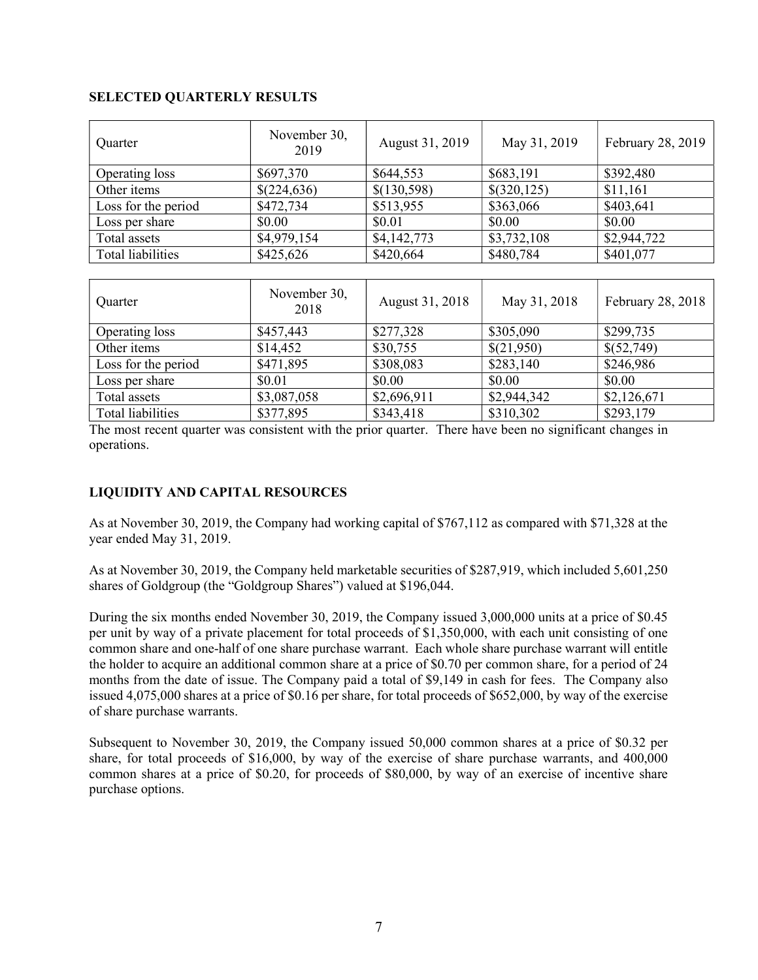## SELECTED QUARTERLY RESULTS

| Quarter             | November 30,<br>2019 | August 31, 2019 | May 31, 2019 | February 28, 2019 |
|---------------------|----------------------|-----------------|--------------|-------------------|
| Operating loss      | \$697,370            | \$644,553       | \$683,191    | \$392,480         |
| Other items         | \$(224,636)          | \$(130,598)     | \$(320,125)  | \$11,161          |
| Loss for the period | \$472,734            | \$513,955       | \$363,066    | \$403,641         |
| Loss per share      | \$0.00               | \$0.01          | \$0.00       | \$0.00            |
| Total assets        | \$4,979,154          | \$4,142,773     | \$3,732,108  | \$2,944,722       |
| Total liabilities   | \$425,626            | \$420,664       | \$480,784    | \$401,077         |
|                     |                      |                 |              |                   |
|                     |                      |                 |              |                   |

| Quarter             | November 30,<br>2018 | August 31, 2018 | May 31, 2018 | February 28, 2018 |
|---------------------|----------------------|-----------------|--------------|-------------------|
| Operating loss      | \$457,443            | \$277,328       | \$305,090    | \$299,735         |
| Other items         | \$14,452             | \$30,755        | \$(21,950)   | \$(52,749)        |
| Loss for the period | \$471,895            | \$308,083       | \$283,140    | \$246,986         |
| Loss per share      | \$0.01               | \$0.00          | \$0.00       | \$0.00            |
| Total assets        | \$3,087,058          | \$2,696,911     | \$2,944,342  | \$2,126,671       |
| Total liabilities   | \$377,895            | \$343,418       | \$310,302    | \$293,179         |

The most recent quarter was consistent with the prior quarter. There have been no significant changes in operations.

# LIQUIDITY AND CAPITAL RESOURCES

As at November 30, 2019, the Company had working capital of \$767,112 as compared with \$71,328 at the year ended May 31, 2019.

As at November 30, 2019, the Company held marketable securities of \$287,919, which included 5,601,250 shares of Goldgroup (the "Goldgroup Shares") valued at \$196,044.

During the six months ended November 30, 2019, the Company issued 3,000,000 units at a price of \$0.45 per unit by way of a private placement for total proceeds of \$1,350,000, with each unit consisting of one common share and one-half of one share purchase warrant. Each whole share purchase warrant will entitle the holder to acquire an additional common share at a price of \$0.70 per common share, for a period of 24 months from the date of issue. The Company paid a total of \$9,149 in cash for fees. The Company also issued 4,075,000 shares at a price of \$0.16 per share, for total proceeds of \$652,000, by way of the exercise of share purchase warrants.

Subsequent to November 30, 2019, the Company issued 50,000 common shares at a price of \$0.32 per share, for total proceeds of \$16,000, by way of the exercise of share purchase warrants, and 400,000 common shares at a price of \$0.20, for proceeds of \$80,000, by way of an exercise of incentive share purchase options.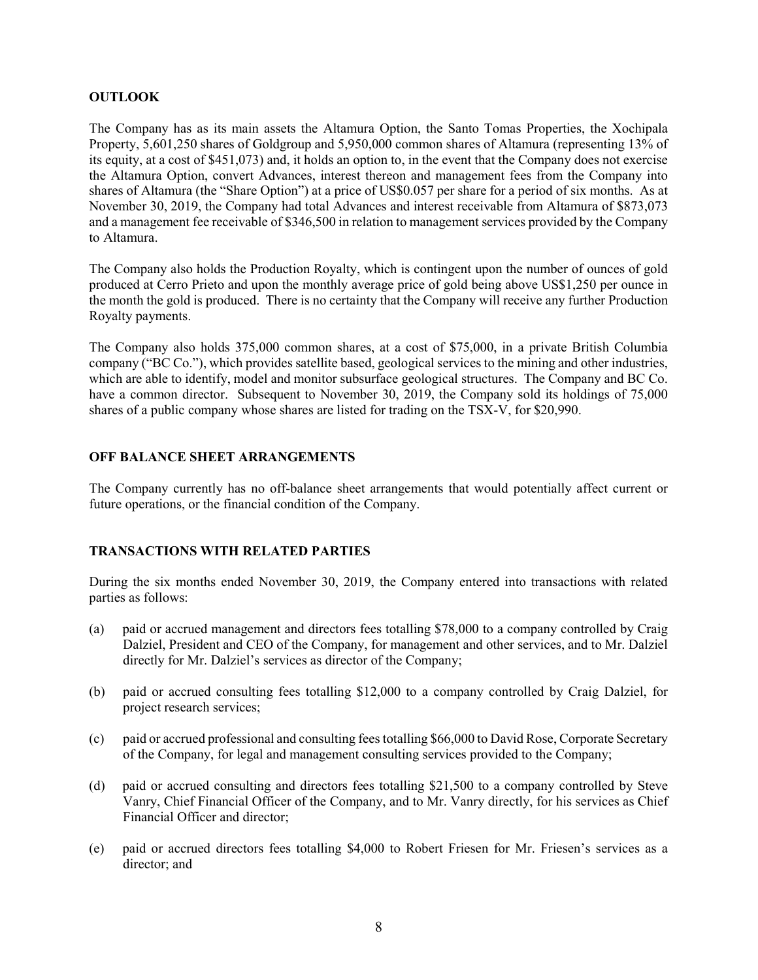#### **OUTLOOK**

The Company has as its main assets the Altamura Option, the Santo Tomas Properties, the Xochipala Property, 5,601,250 shares of Goldgroup and 5,950,000 common shares of Altamura (representing 13% of its equity, at a cost of \$451,073) and, it holds an option to, in the event that the Company does not exercise the Altamura Option, convert Advances, interest thereon and management fees from the Company into shares of Altamura (the "Share Option") at a price of US\$0.057 per share for a period of six months. As at November 30, 2019, the Company had total Advances and interest receivable from Altamura of \$873,073 and a management fee receivable of \$346,500 in relation to management services provided by the Company to Altamura.

The Company also holds the Production Royalty, which is contingent upon the number of ounces of gold produced at Cerro Prieto and upon the monthly average price of gold being above US\$1,250 per ounce in the month the gold is produced. There is no certainty that the Company will receive any further Production Royalty payments.

The Company also holds 375,000 common shares, at a cost of \$75,000, in a private British Columbia company ("BC Co."), which provides satellite based, geological services to the mining and other industries, which are able to identify, model and monitor subsurface geological structures. The Company and BC Co. have a common director. Subsequent to November 30, 2019, the Company sold its holdings of 75,000 shares of a public company whose shares are listed for trading on the TSX-V, for \$20,990.

#### OFF BALANCE SHEET ARRANGEMENTS

The Company currently has no off-balance sheet arrangements that would potentially affect current or future operations, or the financial condition of the Company.

### TRANSACTIONS WITH RELATED PARTIES

During the six months ended November 30, 2019, the Company entered into transactions with related parties as follows:

- (a) paid or accrued management and directors fees totalling \$78,000 to a company controlled by Craig Dalziel, President and CEO of the Company, for management and other services, and to Mr. Dalziel directly for Mr. Dalziel's services as director of the Company;
- (b) paid or accrued consulting fees totalling \$12,000 to a company controlled by Craig Dalziel, for project research services;
- (c) paid or accrued professional and consulting fees totalling \$66,000 to David Rose, Corporate Secretary of the Company, for legal and management consulting services provided to the Company;
- (d) paid or accrued consulting and directors fees totalling \$21,500 to a company controlled by Steve Vanry, Chief Financial Officer of the Company, and to Mr. Vanry directly, for his services as Chief Financial Officer and director;
- (e) paid or accrued directors fees totalling \$4,000 to Robert Friesen for Mr. Friesen's services as a director; and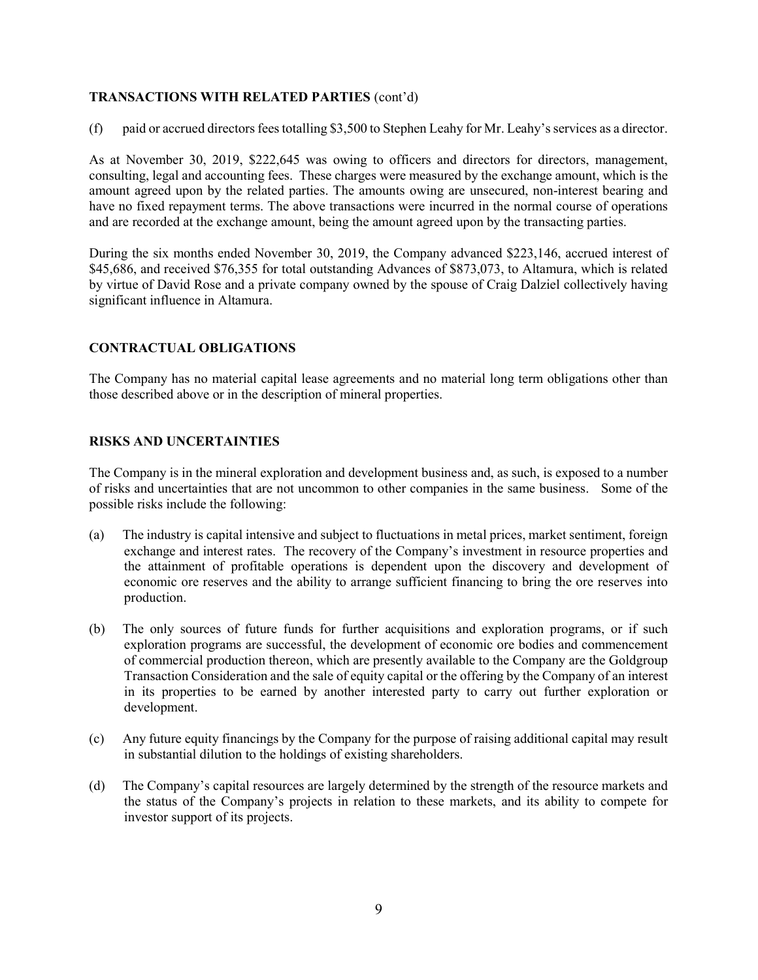### TRANSACTIONS WITH RELATED PARTIES (cont'd)

(f) paid or accrued directors fees totalling \$3,500 to Stephen Leahy for Mr. Leahy's services as a director.

As at November 30, 2019, \$222,645 was owing to officers and directors for directors, management, consulting, legal and accounting fees. These charges were measured by the exchange amount, which is the amount agreed upon by the related parties. The amounts owing are unsecured, non-interest bearing and have no fixed repayment terms. The above transactions were incurred in the normal course of operations and are recorded at the exchange amount, being the amount agreed upon by the transacting parties.

During the six months ended November 30, 2019, the Company advanced \$223,146, accrued interest of \$45,686, and received \$76,355 for total outstanding Advances of \$873,073, to Altamura, which is related by virtue of David Rose and a private company owned by the spouse of Craig Dalziel collectively having significant influence in Altamura.

#### CONTRACTUAL OBLIGATIONS

The Company has no material capital lease agreements and no material long term obligations other than those described above or in the description of mineral properties.

#### RISKS AND UNCERTAINTIES

The Company is in the mineral exploration and development business and, as such, is exposed to a number of risks and uncertainties that are not uncommon to other companies in the same business. Some of the possible risks include the following:

- (a) The industry is capital intensive and subject to fluctuations in metal prices, market sentiment, foreign exchange and interest rates. The recovery of the Company's investment in resource properties and the attainment of profitable operations is dependent upon the discovery and development of economic ore reserves and the ability to arrange sufficient financing to bring the ore reserves into production.
- (b) The only sources of future funds for further acquisitions and exploration programs, or if such exploration programs are successful, the development of economic ore bodies and commencement of commercial production thereon, which are presently available to the Company are the Goldgroup Transaction Consideration and the sale of equity capital or the offering by the Company of an interest in its properties to be earned by another interested party to carry out further exploration or development.
- (c) Any future equity financings by the Company for the purpose of raising additional capital may result in substantial dilution to the holdings of existing shareholders.
- (d) The Company's capital resources are largely determined by the strength of the resource markets and the status of the Company's projects in relation to these markets, and its ability to compete for investor support of its projects.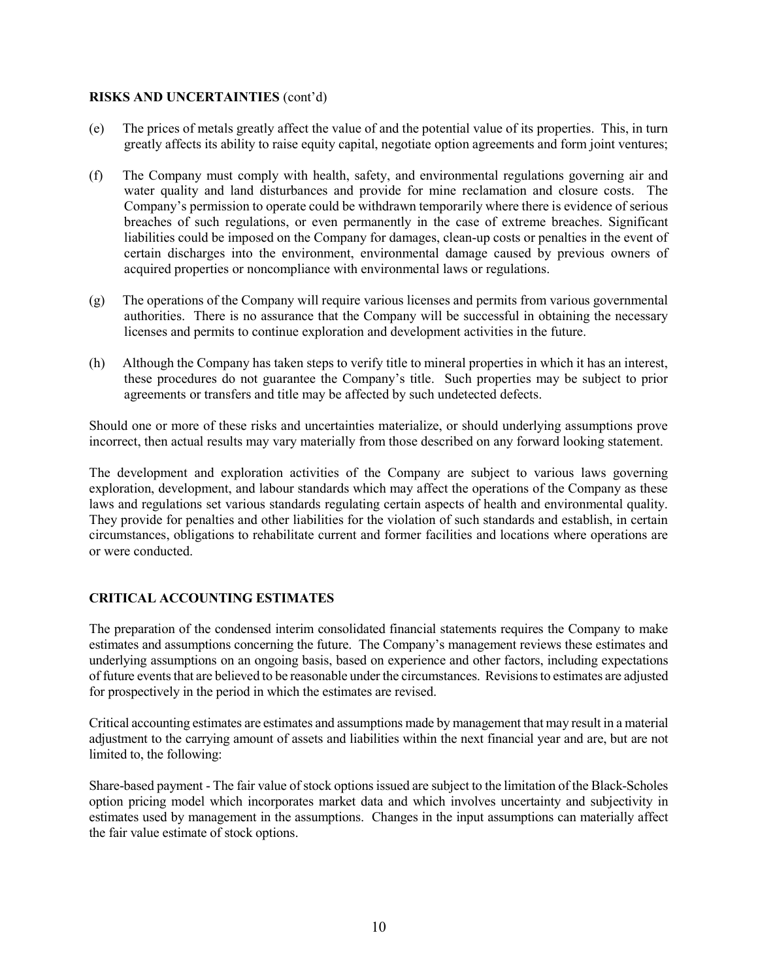#### RISKS AND UNCERTAINTIES (cont'd)

- (e) The prices of metals greatly affect the value of and the potential value of its properties. This, in turn greatly affects its ability to raise equity capital, negotiate option agreements and form joint ventures;
- (f) The Company must comply with health, safety, and environmental regulations governing air and water quality and land disturbances and provide for mine reclamation and closure costs. The Company's permission to operate could be withdrawn temporarily where there is evidence of serious breaches of such regulations, or even permanently in the case of extreme breaches. Significant liabilities could be imposed on the Company for damages, clean-up costs or penalties in the event of certain discharges into the environment, environmental damage caused by previous owners of acquired properties or noncompliance with environmental laws or regulations.
- (g) The operations of the Company will require various licenses and permits from various governmental authorities. There is no assurance that the Company will be successful in obtaining the necessary licenses and permits to continue exploration and development activities in the future.
- (h) Although the Company has taken steps to verify title to mineral properties in which it has an interest, these procedures do not guarantee the Company's title. Such properties may be subject to prior agreements or transfers and title may be affected by such undetected defects.

Should one or more of these risks and uncertainties materialize, or should underlying assumptions prove incorrect, then actual results may vary materially from those described on any forward looking statement.

The development and exploration activities of the Company are subject to various laws governing exploration, development, and labour standards which may affect the operations of the Company as these laws and regulations set various standards regulating certain aspects of health and environmental quality. They provide for penalties and other liabilities for the violation of such standards and establish, in certain circumstances, obligations to rehabilitate current and former facilities and locations where operations are or were conducted.

### CRITICAL ACCOUNTING ESTIMATES

The preparation of the condensed interim consolidated financial statements requires the Company to make estimates and assumptions concerning the future. The Company's management reviews these estimates and underlying assumptions on an ongoing basis, based on experience and other factors, including expectations of future events that are believed to be reasonable under the circumstances. Revisions to estimates are adjusted for prospectively in the period in which the estimates are revised.

Critical accounting estimates are estimates and assumptions made by management that may result in a material adjustment to the carrying amount of assets and liabilities within the next financial year and are, but are not limited to, the following:

Share-based payment - The fair value of stock options issued are subject to the limitation of the Black-Scholes option pricing model which incorporates market data and which involves uncertainty and subjectivity in estimates used by management in the assumptions. Changes in the input assumptions can materially affect the fair value estimate of stock options.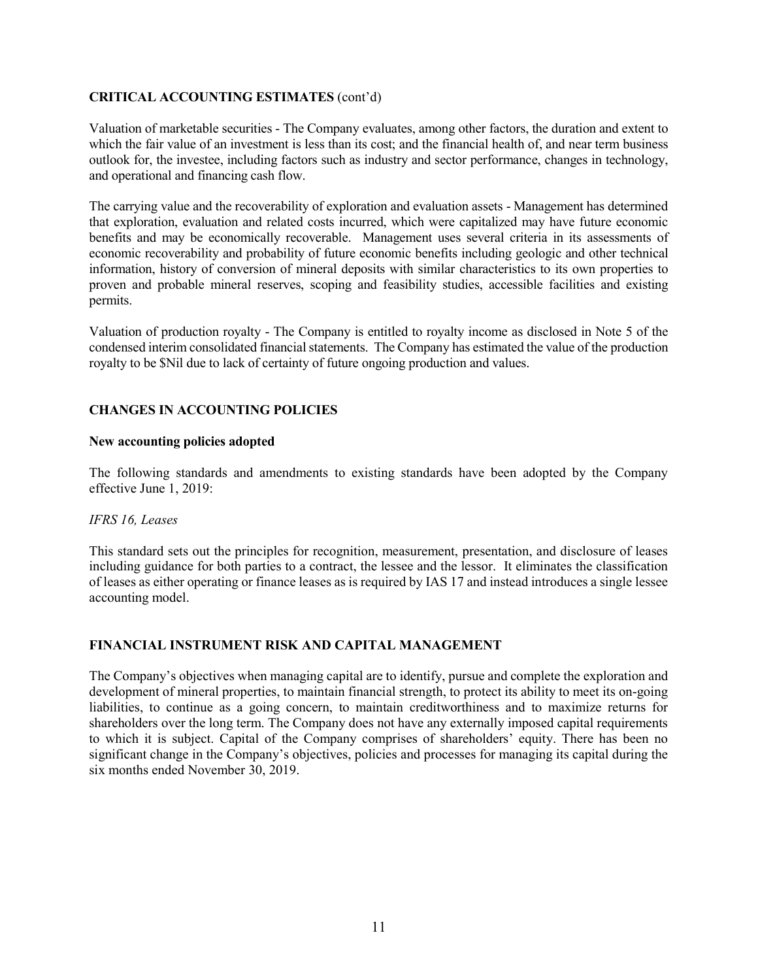# CRITICAL ACCOUNTING ESTIMATES (cont'd)

Valuation of marketable securities - The Company evaluates, among other factors, the duration and extent to which the fair value of an investment is less than its cost; and the financial health of, and near term business outlook for, the investee, including factors such as industry and sector performance, changes in technology, and operational and financing cash flow.

The carrying value and the recoverability of exploration and evaluation assets - Management has determined that exploration, evaluation and related costs incurred, which were capitalized may have future economic benefits and may be economically recoverable. Management uses several criteria in its assessments of economic recoverability and probability of future economic benefits including geologic and other technical information, history of conversion of mineral deposits with similar characteristics to its own properties to proven and probable mineral reserves, scoping and feasibility studies, accessible facilities and existing permits.

Valuation of production royalty - The Company is entitled to royalty income as disclosed in Note 5 of the condensed interim consolidated financial statements. The Company has estimated the value of the production royalty to be \$Nil due to lack of certainty of future ongoing production and values.

# CHANGES IN ACCOUNTING POLICIES

### New accounting policies adopted

The following standards and amendments to existing standards have been adopted by the Company effective June 1, 2019:

### IFRS 16, Leases

This standard sets out the principles for recognition, measurement, presentation, and disclosure of leases including guidance for both parties to a contract, the lessee and the lessor. It eliminates the classification of leases as either operating or finance leases as is required by IAS 17 and instead introduces a single lessee accounting model.

### FINANCIAL INSTRUMENT RISK AND CAPITAL MANAGEMENT

The Company's objectives when managing capital are to identify, pursue and complete the exploration and development of mineral properties, to maintain financial strength, to protect its ability to meet its on-going liabilities, to continue as a going concern, to maintain creditworthiness and to maximize returns for shareholders over the long term. The Company does not have any externally imposed capital requirements to which it is subject. Capital of the Company comprises of shareholders' equity. There has been no significant change in the Company's objectives, policies and processes for managing its capital during the six months ended November 30, 2019.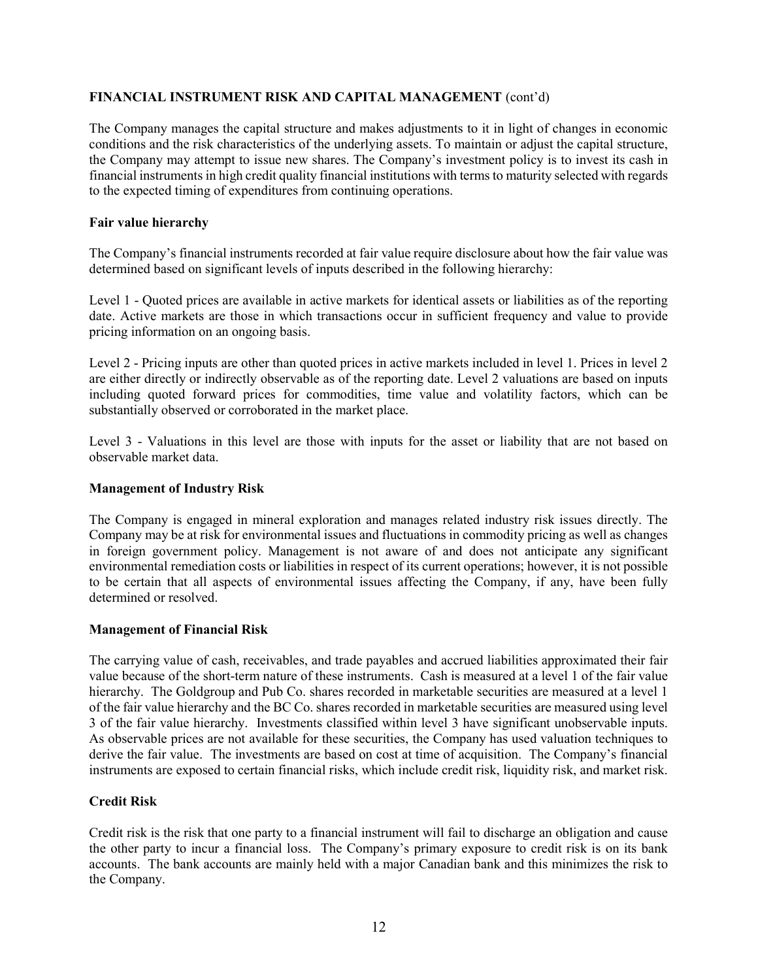# FINANCIAL INSTRUMENT RISK AND CAPITAL MANAGEMENT (cont'd)

The Company manages the capital structure and makes adjustments to it in light of changes in economic conditions and the risk characteristics of the underlying assets. To maintain or adjust the capital structure, the Company may attempt to issue new shares. The Company's investment policy is to invest its cash in financial instruments in high credit quality financial institutions with terms to maturity selected with regards to the expected timing of expenditures from continuing operations.

### Fair value hierarchy

The Company's financial instruments recorded at fair value require disclosure about how the fair value was determined based on significant levels of inputs described in the following hierarchy:

Level 1 - Quoted prices are available in active markets for identical assets or liabilities as of the reporting date. Active markets are those in which transactions occur in sufficient frequency and value to provide pricing information on an ongoing basis.

Level 2 - Pricing inputs are other than quoted prices in active markets included in level 1. Prices in level 2 are either directly or indirectly observable as of the reporting date. Level 2 valuations are based on inputs including quoted forward prices for commodities, time value and volatility factors, which can be substantially observed or corroborated in the market place.

Level 3 - Valuations in this level are those with inputs for the asset or liability that are not based on observable market data.

#### Management of Industry Risk

The Company is engaged in mineral exploration and manages related industry risk issues directly. The Company may be at risk for environmental issues and fluctuations in commodity pricing as well as changes in foreign government policy. Management is not aware of and does not anticipate any significant environmental remediation costs or liabilities in respect of its current operations; however, it is not possible to be certain that all aspects of environmental issues affecting the Company, if any, have been fully determined or resolved.

### Management of Financial Risk

The carrying value of cash, receivables, and trade payables and accrued liabilities approximated their fair value because of the short-term nature of these instruments. Cash is measured at a level 1 of the fair value hierarchy. The Goldgroup and Pub Co. shares recorded in marketable securities are measured at a level 1 of the fair value hierarchy and the BC Co. shares recorded in marketable securities are measured using level 3 of the fair value hierarchy. Investments classified within level 3 have significant unobservable inputs. As observable prices are not available for these securities, the Company has used valuation techniques to derive the fair value. The investments are based on cost at time of acquisition. The Company's financial instruments are exposed to certain financial risks, which include credit risk, liquidity risk, and market risk.

### Credit Risk

Credit risk is the risk that one party to a financial instrument will fail to discharge an obligation and cause the other party to incur a financial loss. The Company's primary exposure to credit risk is on its bank accounts. The bank accounts are mainly held with a major Canadian bank and this minimizes the risk to the Company.